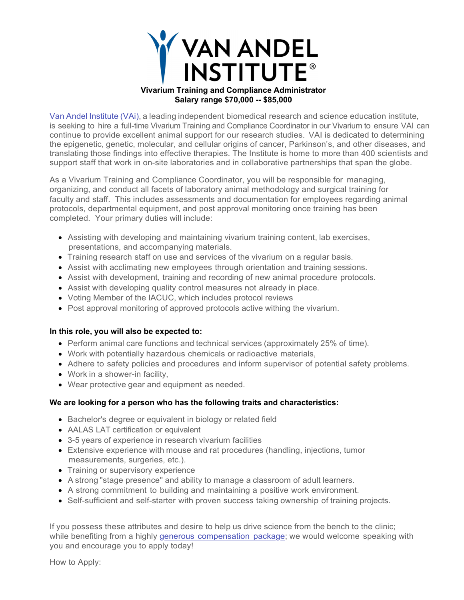

Van Andel Institute (VAi), a leading independent biomedical research and science education institute, is seeking to hire a full-time Vivarium Training and Compliance Coordinator in our Vivarium to ensure VAI can continue to provide excellent animal support for our research studies. VAI is dedicated to determining the epigenetic, genetic, molecular, and cellular origins of cancer, Parkinson's, and other diseases, and translating those findings into effective therapies. The Institute is home to more than 400 scientists and support staff that work in on-site laboratories and in collaborative partnerships that span the globe.

As a Vivarium Training and Compliance Coordinator, you will be responsible for managing, organizing, and conduct all facets of laboratory animal methodology and surgical training for faculty and staff. This includes assessments and documentation for employees regarding animal protocols, departmental equipment, and post approval monitoring once training has been completed. Your primary duties will include:

- Assisting with developing and maintaining vivarium training content, lab exercises, presentations, and accompanying materials.
- Training research staff on use and services of the vivarium on a regular basis.
- Assist with acclimating new employees through orientation and training sessions.
- Assist with development, training and recording of new animal procedure protocols.
- Assist with developing quality control measures not already in place.
- Voting Member of the IACUC, which includes protocol reviews
- Post approval monitoring of approved protocols active withing the vivarium.

## **In this role, you will also be expected to:**

- Perform animal care functions and technical services (approximately 25% of time).
- Work with potentially hazardous chemicals or radioactive materials,
- Adhere to safety policies and procedures and inform supervisor of potential safety problems.
- Work in a shower-in facility,
- Wear protective gear and equipment as needed.

## **We are looking for a person who has the following traits and characteristics:**

- Bachelor's degree or equivalent in biology or related field
- AALAS LAT certification or equivalent
- 3-5 years of experience in research vivarium facilities
- Extensive experience with mouse and rat procedures (handling, injections, tumor measurements, surgeries, etc.).
- Training or supervisory experience
- A strong "stage presence" and ability to manage a classroom of adult learners.
- A strong commitment to building and maintaining a positive work environment.
- Self-sufficient and self-starter with proven success taking ownership of training projects.

If you possess these attributes and desire to help us drive science from the bench to the clinic; while benefiting from a highly generous compensation package; we would welcome speaking with you and encourage you to apply today!

How to Apply: